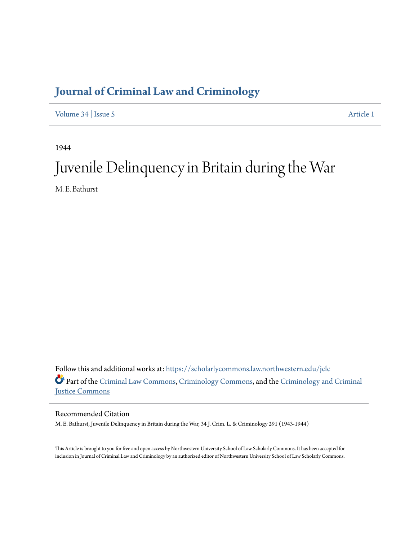## **[Journal of Criminal Law and Criminology](https://scholarlycommons.law.northwestern.edu/jclc?utm_source=scholarlycommons.law.northwestern.edu%2Fjclc%2Fvol34%2Fiss5%2F1&utm_medium=PDF&utm_campaign=PDFCoverPages)**

[Volume 34](https://scholarlycommons.law.northwestern.edu/jclc/vol34?utm_source=scholarlycommons.law.northwestern.edu%2Fjclc%2Fvol34%2Fiss5%2F1&utm_medium=PDF&utm_campaign=PDFCoverPages) | [Issue 5](https://scholarlycommons.law.northwestern.edu/jclc/vol34/iss5?utm_source=scholarlycommons.law.northwestern.edu%2Fjclc%2Fvol34%2Fiss5%2F1&utm_medium=PDF&utm_campaign=PDFCoverPages) [Article 1](https://scholarlycommons.law.northwestern.edu/jclc/vol34/iss5/1?utm_source=scholarlycommons.law.northwestern.edu%2Fjclc%2Fvol34%2Fiss5%2F1&utm_medium=PDF&utm_campaign=PDFCoverPages)

1944

# Juvenile Delinquency in Britain during the War

M. E. Bathurst

Follow this and additional works at: [https://scholarlycommons.law.northwestern.edu/jclc](https://scholarlycommons.law.northwestern.edu/jclc?utm_source=scholarlycommons.law.northwestern.edu%2Fjclc%2Fvol34%2Fiss5%2F1&utm_medium=PDF&utm_campaign=PDFCoverPages) Part of the [Criminal Law Commons](http://network.bepress.com/hgg/discipline/912?utm_source=scholarlycommons.law.northwestern.edu%2Fjclc%2Fvol34%2Fiss5%2F1&utm_medium=PDF&utm_campaign=PDFCoverPages), [Criminology Commons](http://network.bepress.com/hgg/discipline/417?utm_source=scholarlycommons.law.northwestern.edu%2Fjclc%2Fvol34%2Fiss5%2F1&utm_medium=PDF&utm_campaign=PDFCoverPages), and the [Criminology and Criminal](http://network.bepress.com/hgg/discipline/367?utm_source=scholarlycommons.law.northwestern.edu%2Fjclc%2Fvol34%2Fiss5%2F1&utm_medium=PDF&utm_campaign=PDFCoverPages) [Justice Commons](http://network.bepress.com/hgg/discipline/367?utm_source=scholarlycommons.law.northwestern.edu%2Fjclc%2Fvol34%2Fiss5%2F1&utm_medium=PDF&utm_campaign=PDFCoverPages)

Recommended Citation

M. E. Bathurst, Juvenile Delinquency in Britain during the War, 34 J. Crim. L. & Criminology 291 (1943-1944)

This Article is brought to you for free and open access by Northwestern University School of Law Scholarly Commons. It has been accepted for inclusion in Journal of Criminal Law and Criminology by an authorized editor of Northwestern University School of Law Scholarly Commons.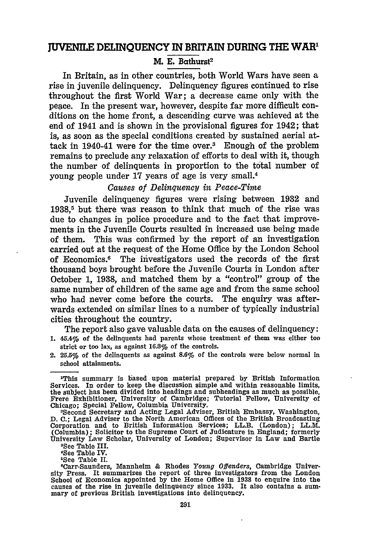### **JUVENILE DELINQUENCY IN BRITAIN DURING THE WAR**

#### M. E. Bathurst<sup>2</sup>

In Britain, as in other countries, both World Wars have seen a rise in juvenile delinquency. Delinquency figures continued to rise throughout the first World War; a decrease came only with the peace. In the present war, however, despite far more difficult conditions on the home front, a descending curve was achieved at the end of 1941 and is shown in the provisional figures for 1942; that is, as soon as the special conditions created by sustained aerial attack in 1940-41 were for the time over.<sup>3</sup> Enough of the problem remains to preclude any relaxation of efforts to deal with it, though the number of delinquents in proportion to the total number of young people under 17 years of age is very small.<sup>4</sup>

#### *Causes of Delinquency in Peace-Time*

Juvenile delinquency figures were rising between 1932 and **1938,5** but there was reason to think that much of the rise was due to changes in police procedure and to the fact that improvements in the Juvenile Courts resulted in increased use being made of them. This was confirmed by the report of an investigation carried out at the request of the Home Office by the London School of Economics.6 The iivestigators used the records of the first thousand boys brought before the Juvenile Courts in London after October 1, 1938, and matched them by a "control" group of the same number of children of the same age and from the same school who had never come before the courts. The enquiry was afterwards extended on similar lines to a number of typically industrial cities throughout the country.

The report also gave valuable data on the causes of delinquency:

- **1.** 45.4% of the delinquents had parents whose treatment of them was either too strict or too lax, as against 16.3% of the controls.
- 2. 25.5% of the delinquents as against 8.6% of the controls were below normal in school attainments.

<sup>&#</sup>x27;This summary is based upon material prepared **by** British Information Services. In order to keep the discussion simple and within reasonable limits, the subject has been divided into headings and subheadings as much as possible. Frere Exhibitioner, University of Cambridge; Tutorial Fellow, University of Chicago; Special Fellow, Columbia University. 'Second Secretary and Acting Legal Adviser, British Embassy, Washington,

**D. C.;** Legal Adviser to the North American Offices of the British Broadcasting Corporation and to British Information Services; LL.B. (London); LL.M. (Columbia); Solicitor to the Supreme Court of Judicature in England; formerly University Law Scholar, University of London; Supervisor in Law and Bartle

<sup>\*</sup>See Table III.

<sup>&#</sup>x27;See Table IV.

GSee Table II.

<sup>&</sup>lt;sup>6</sup>Carr-Saunders, Mannheim & Rhodes Young Offenders, Cambridge University Press. It summarizes the report of three investigators from the London School of Economics appointed by the Home Office in 1938 to enquire into the causes of the rise in juvenile delinquency since **1933.** It also contains a sum-mary of previous British investigations into delinquency.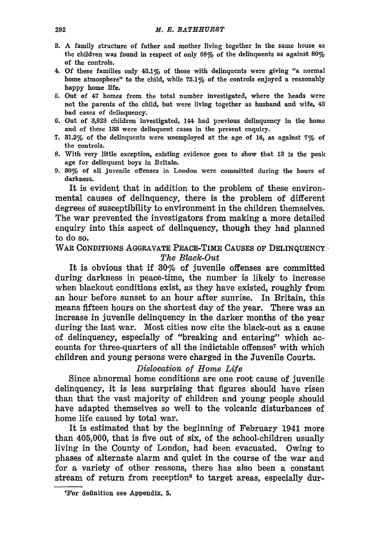- **3. A** family structure of father and mother living together in the same house as the children was found in respect of only **68%** of the delinquents as against 80% of the controls.
- 4. **Of** these families only 43.1% of those with delinquents were giving "a normal home atmosphere" to the child, while 75.1% of the controls enjoyed a reasonably happy home life.
- **5.** Out of 47 homes from the total number investigated, where the heads were not the parents of the child, but were living together as husband and wife, 43 had cases of delinquency.
- **6.** Out of **3,923** children investigated, 144 had previous delinquency in the home and of these **133** were delinquent cases in the present enquiry.
- **7.** 31.2% of the delinquents were unemployed at the age of **16,** as against **79** of the controls.
- **8.** With very little exception, existing evidence goes to show that **13** is the peak age for delinquent boys in Britain.
- **9. 80%** of all juvenile offenses in London were committed during the hours of darkness.

It is evident that in addition to the problem of these environmental causes of delinquency, there is the problem of different degrees of susceptibility to environment in the children themselves. The war prevented the investigators from making a more detailed enquiry into this aspect of delinquency, though they had planned to do so.

#### WAR CONDITIONS AGGRAVATE PEACE-TIME **CAUSES** OF **DELINQUENCY** *The Black-Out*

It is obvious that if 30% of juvenile offenses are committed during darkness in peace-time, the number is likely to increase when blackout conditions exist, as they have existed, roughly from an hour before sunset to an hour after sunrise. In Britain, this means fifteen hours on the shortest day of the year. There was an increase in juvenile delinquency in the darker months of the year during the last war. Most cities now cite the black-out as a cause of delinquency, especially of "breaking and entering" which accounts for three-quarters of all the indictable offenses<sup>7</sup> with which children and young persons were charged in the Juvenile Courts.

#### *Dislocation of Home Life*

Since abnormal home conditions are one root cause of juvenile delinquency, it is less surprising that figures should have risen than that the vast majority of children and young people should have adapted themselves so well to the volcanic disturbances of home life caused by total war.

It is estimated that by the beginning of February 1941 more than 405,000, that is five out of six, of the school-children usually living in the County of London, had been evacuated. Owing to phases of alternate alarm and quiet in the course of the war and for a variety of other reasons, there has also been a constant stream of return from reception<sup>8</sup> to target areas, especially dur-

<sup>-</sup>For definition see Appendix, **5.**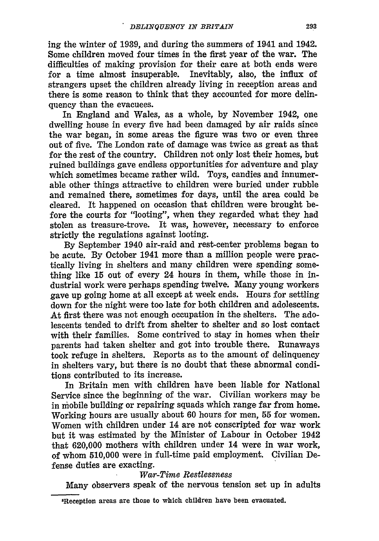ing the winter of **1939,** and during the summers of 1941 and 1942. Some children moved four times in the first year of the war. The difficulties of making provision for their care at both ends were for a time almost insuperable. Inevitably, also, the influx of strangers upset the children already living in reception areas and there is some reason to think that they accounted for more delinquency than the evacuees.

In England and Wales, as a whole, **by** November 1942, one dwelling house in every five had been damaged **by** air raids since the war began, in some areas the figure was two or even three out of five. The London rate of damage was twice as great as that for the rest of the country. Children not only lost their homes, but ruined buildings gave endless opportunities for adventure and play which sometimes became rather wild. Toys, candies and innumerable other things attractive to children were buried under rubble and remained there, sometimes for days, until the area could be cleared. It happened on occasion that children were brought before the courts for "looting", when they regarded what they had stolen as treasure-trove. It was, however, necessary to enforce strictly the regulations against looting.

**By** September 1940 air-raid and rest-center problems began to be acute. **By** October 1941 more than a million people were practically living in shelters and many children were spending something like **15** out of every 24 hours in them, while those in industrial work were perhaps spending twelve. Many young workers gave up going home at all except at week ends. Hours for settling down for the night were too late for both children and adolescents. At first there was not enough occupation in the shelters. The adolescents tended to drift from shelter to shelter and so lost contact with their families. Some contrived to stay in homes when their parents had taken shelter and got into trouble there. Runaways took refuge in shelters. Reports as to the amount of delinquency in shelters vary, but there is no doubt that these abnormal conditions contributed to its increase.

In Britain men with children have been liable for National Service since the beginning of the war. Civilian workers may be in mobile building or repairing squads which range far from home. Working hours are usually about **60** hours for men, 55 for women. Women with children under 14 are not conscripted for war work but it was estimated **by** the Minister of Labour in October 1942 that **620,000** mothers with children under 14 were in war work, of whom **510,000** were in full-time paid employment. Civilian Defense duties are exacting.

#### *War-Time Restlessness*

Many observers speak of the nervous tension set up in adults

sReception areas are those to which children have been evacuated.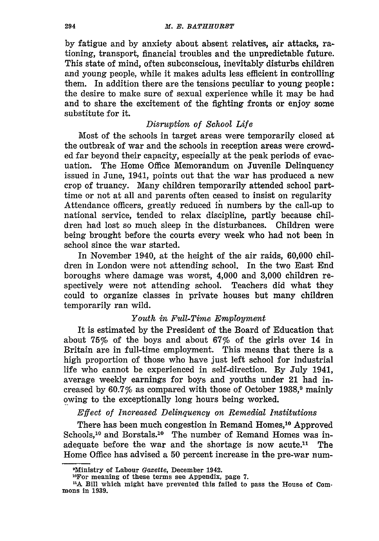**by** fatigue and by anxiety about absent relatives, air attacks, rationing, transport, financial troubles and the unpredictable future. This state of mind, often subconscious, inevitably disturbs children and young people, while it makes adults less efficient in controlling them. In addition there are the tensions peculiar to young people: the desire to make sure of sexual experience while it may be had and to share the excitement of the fighting fronts or enjoy some substitute for it.

#### *Disruption of School Life*

Most of the schools in target areas were temporarily closed at the outbreak of war and the schools in reception areas were crowded far beyond their capacity, especially at the peak periods of evacuation. The Home Office Memorandum on Juvenile Delinquency issued in June, 1941, points out that the war has produced a new crop of truancy. Many children temporarily attended school parttime or not at all and parents often ceased to insist on regularity Attendance officers, greatly reduced in numbers by the call-up to national service, tended to relax discipline, partly because children had lost so much sleep in the disturbances. Children were being brought before the courts every week who had not been in school since the war started.

In November 1940, at the height of the air raids, 60,000 children in London were not attending school. In the two East End boroughs where damage was worst, 4,000 and 3,000 children respectively were not attending school. Teachers did what they could to organize classes in private houses but many children temporarily ran wild.

#### *Youth in Full-Time Employment*

It is estimated by the President of the Board of Education that about 75% of the boys and about 67% of the girls over 14 in Britain are in full-time employment. This means that there is a high proportion of those who have just left school for industrial life who cannot be experienced in self-direction. By July 1941, average weekly earnings for boys and youths under 21 had increased by 60.7% as compared with those of October 1938, 9 mainly owing to the exceptionally long hours being worked.

*Effect of Increased Delinquency on Remedial Institutions*

There has been much congestion in Remand Homes,<sup>10</sup> Approved Schools,<sup>10</sup> and Borstals.<sup>10</sup> The number of Remand Homes was inadequate before the war and the shortage is now acute.<sup>11</sup> The Home Office has advised a **50** percent increase in the pre-war num-

<sup>&</sup>quot;Ministry of Labour Gazette, December 1942.

<sup>1</sup> 0 For meaning of these terms see Appendix, page **7.**

**<sup>&</sup>quot;A** Bill which might have prevented this failed to pass the House of Com- mons in 1939.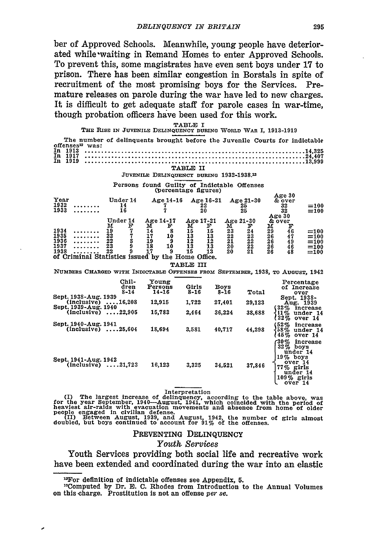ber of Approved Schools. Meanwhile, young people have deteriorated while waiting in Remand Homes to enter Approved Schools. To prevent this, some magistrates have even sent boys under **17** to prison. There has been similar congestion in Borstals in spite of recruitment of the most promising boys for the Services. Premature releases on parole during the war have led to new charges. It is difficult to get adequate staff for parole cases in war-time, though probation officers have been used for this work.

| <b>TABLE I</b><br>THE RISE IN JUVENILE DELINQUENCY DURING WORLD WAR I, 1913-1919                                                                 |                                                                           |                                                                              |                                                                                 |                                 |                                              |                                                                                |                                                |  |  |  |
|--------------------------------------------------------------------------------------------------------------------------------------------------|---------------------------------------------------------------------------|------------------------------------------------------------------------------|---------------------------------------------------------------------------------|---------------------------------|----------------------------------------------|--------------------------------------------------------------------------------|------------------------------------------------|--|--|--|
| offenses <sup>12</sup> was:<br>In 1913                                                                                                           |                                                                           | The number of delinquents brought before the Juvenile Courts for indictable  |                                                                                 |                                 |                                              |                                                                                |                                                |  |  |  |
| 1917<br>In<br>In<br>1919                                                                                                                         |                                                                           |                                                                              |                                                                                 |                                 |                                              |                                                                                |                                                |  |  |  |
| TABLE II<br>JUVENILE DELINQUENCY DURING 1932-1938.13                                                                                             |                                                                           |                                                                              |                                                                                 |                                 |                                              |                                                                                |                                                |  |  |  |
| Persons found Guilty of Indictable Offenses<br>(percentage figures)                                                                              |                                                                           |                                                                              |                                                                                 |                                 |                                              |                                                                                |                                                |  |  |  |
| Year<br>1932<br>1933                                                                                                                             | Under 14<br>14<br>16                                                      | Age 14-16<br>7<br>7                                                          | Age 16-21<br>22<br>20                                                           |                                 | Age 21-30<br>25<br>25                        | Age $30$<br>& over<br>32<br>32<br>Age 30                                       | $=100$<br>$=100$                               |  |  |  |
| 1934<br>1935<br>1936<br>1937<br>1938                                                                                                             | Under 14<br>м<br>F<br>7<br>19<br>22<br>7<br>s<br>22<br>9<br>23<br>22<br>9 | Age 14-17<br>F<br>м<br>14<br>8<br>17<br>10<br>19<br>9<br>18<br>10<br>17<br>9 | Age 17-21<br>м<br>F<br>15<br>15<br>13<br>13<br>12<br>12<br>13<br>13<br>15<br>13 | м<br>23<br>22<br>21<br>20<br>20 | Age 21-30<br>F<br>24<br>23<br>22<br>22<br>21 | & over<br>м<br>F<br>29<br>46<br>26<br>47<br>26<br>49<br>26<br>46<br>26<br>48   | $=100$<br>$=100$<br>$=100$<br>$=100$<br>$=100$ |  |  |  |
| of Criminal Statistics issued by the Home Office.<br>TABLE III<br>NUMBERS CHARGED WITH INDICTABLE OFFENSES FROM SEPTEMBER, 1938, TO AUGUST, 1942 |                                                                           |                                                                              |                                                                                 |                                 |                                              |                                                                                |                                                |  |  |  |
|                                                                                                                                                  | Chil-<br>dren<br>$8 - 14$                                                 | Young<br>Persons<br>14-16                                                    | Girls<br>$8 - 16$                                                               | <b>Boys</b><br>$8 - 16$         | Total                                        |                                                                                | Percentage<br>of Increase<br>over              |  |  |  |
| Sept. 1938-Aug. 1939                                                                                                                             | $(inclusive)$ 16.208                                                      | 12,915                                                                       | 1.722                                                                           | 27,401                          | 29.123                                       |                                                                                | Sept. 1938-<br>Aug. 1939                       |  |  |  |
| Sept. 1939-Aug. 1940                                                                                                                             | $(inclusive) \dots 22,905$                                                | 15,783                                                                       | 2.464                                                                           | 36,224                          | 38,688                                       | $(22\%$ over 14                                                                | 32% increase<br>$11\%$ under $14$              |  |  |  |
| Sept. 1940-Aug. 1941                                                                                                                             | $(inclusive) \dots .25,604$                                               | 18.694                                                                       | 3.581                                                                           | 40,717                          | 44,298                                       | 52%<br>45% over 14                                                             | increase<br>$58\%$ under 14                    |  |  |  |
| Sept. 1941-Aug. 1942                                                                                                                             | $(inclusive)$ 21.723                                                      | 16,123                                                                       | 3.325                                                                           | 34,521                          | 37,846                                       | $32\%$ boys<br>$19\%$ boys<br>over 14<br>77% girls<br>$109\%$ girls<br>over 14 | $30\%$ increase<br>under 14<br>under 14        |  |  |  |

Interpretation<br>
(I) The largest increase of delinquency, according to the table above, was<br>
for the year September, 1940—August, 1941, which coincided with the period of<br>
heaviest air-raids with evacuation movements and ab

#### PREVENTING **DELINQUENCY** *Youth Services*

Youth Services providing both social life and recreative work have been extended and coordinated during the war into an elastic

<sup>&</sup>quot;For definition of indictable offenses see Appendix, **5.**

<sup>&</sup>quot;Computed **by** Dr. **E. C.** Rhodes from Introduction to the Annual Volumes on this charge. Prostitution is not an offense *per* se.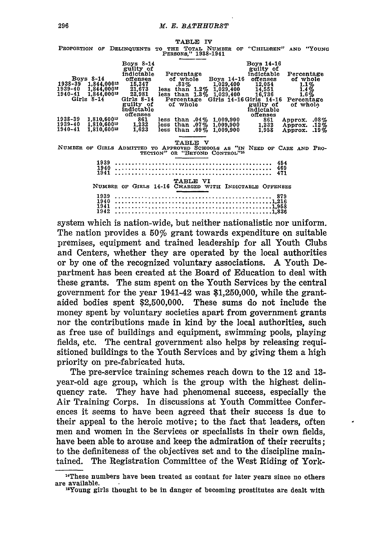|                               |                                                                       |                                                                                                                                  |                                               | <b>TABLE IV</b>     |                                                                                       |                                                                                                                                                  |                                                                             |
|-------------------------------|-----------------------------------------------------------------------|----------------------------------------------------------------------------------------------------------------------------------|-----------------------------------------------|---------------------|---------------------------------------------------------------------------------------|--------------------------------------------------------------------------------------------------------------------------------------------------|-----------------------------------------------------------------------------|
| PROPORTION                    |                                                                       |                                                                                                                                  |                                               | PERSONS." 1938-1941 |                                                                                       | OF DELINQUENTS TO THE TOTAL NUMBER OF "CHILDREN" AND "YOUNG                                                                                      |                                                                             |
| 1938-39<br>1939-40<br>1940-41 | Boys 8-14<br>1,844,000¤<br>1,844,00012<br>1,844,00012<br>Girls $8-14$ | <b>Boys</b> 8-14<br>guilty of<br>indictable<br>offenses<br>15,347<br>21,673<br>23,981<br>Girls $8-14$<br>guilty of<br>indictable | Percentage<br>of whole<br>$.83\%$<br>of whole |                     | Boys 14-16<br>1,029,400<br>less than $1.2\%$ 1,029,400<br>less than $1.3\%$ 1,029,400 | Boys 14-16<br>guilty of<br>indictable<br>offenses<br>12,054<br>14,551<br>16,736<br>Percentage Girls 14-16 Girls 14-16<br>guilty of<br>indictable | Percentage<br>of whole<br>1.1%<br>1.4%<br>$1.6\%$<br>Percentage<br>of whole |
| 1938-39<br>1939-40<br>1940-41 | 1,810,60012<br>1,810,60012<br>1.810.60012                             | offenses<br>861<br>1,232<br>1,623                                                                                                |                                               |                     | 1,009,900 less than .04%<br>less than $.07\%$ 1.009.900<br>less than .09% 1.009.900   | offenses<br>861<br>1,232<br>1.958                                                                                                                | Approx. $.08\%$<br>Approx. $.12\%$<br>Approx. .19%                          |
|                               |                                                                       |                                                                                                                                  |                                               | <b>TABLE V</b>      | TECTION" OR "BEYOND CONTROL" <sup>15</sup>                                            | NUMBER OF GIRLS ADMITTED TO APPROVED SCHOOLS AS "IN NEED OF CARE AND PRO-                                                                        |                                                                             |
|                               | 1939<br>1940<br>1941                                                  |                                                                                                                                  |                                               |                     |                                                                                       | 454<br>469<br>471                                                                                                                                |                                                                             |
|                               |                                                                       |                                                                                                                                  |                                               | <b>TABLE VI</b>     |                                                                                       | NUMBER OF GIRLS 14-16 CHARGED WITH INDICTABLE OFFENSES                                                                                           |                                                                             |
|                               | 1939<br>1940<br>1941<br>1942                                          |                                                                                                                                  |                                               |                     |                                                                                       |                                                                                                                                                  |                                                                             |

system which is nation-wide, but neither nationalistic nor uniform. The nation provides a 50% grant towards expenditure on suitable premises, equipment and trained leadership for all Youth Clubs and Centers, whether they are operated by the local authorities or by one of the recognized voluntary associations. A Youth Department has been created at the Board of Education to deal with these grants. The sum spent on the Youth Services by the central government for the year 1941-42 was **\$1,250,000,** while the grantaided bodies spent \$2,500,000. These sums do not include the money spent by voluntary societies apart from government grants nor the contributions made in kind by the local authorities, such as free use of buildings and equipment, swimming pools, playing fields, etc. The central government also helps by releasing requisitioned buildings to the Youth Services and by giving them a high priority on pre-fabricated huts.

The pre-service training schemes reach down to the 12 and 13 year-old age group, which is the group with the highest delinquency rate. They have had phenomenal success, especially the Air Training Corps. In discussions at Youth Committee Conferences it seems to have been agreed that their success is due to their appeal to the heroic motive; to the fact that leaders, often men and women in the Services or specialists in their own fields, have been able to arouse and keep the admiration of their recruits; to the definiteness of the objectives set and to the discipline maintained. The Registration Committee of the West Riding of York-

<sup>&</sup>quot;These numbers have been treated as contant for later years since no others are available.

<sup>&</sup>quot;Young girls thought to be in danger of becoming prostitutes are dealt with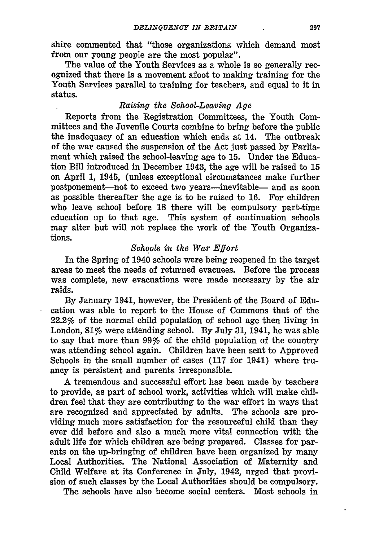shire commented that "those organizations which demand most from our young people are the most popular".

The value of the Youth Services as a whole is so generally recognized that there is a movement afoot to making training for the Youth Services parallel to training for teachers, and equal to it in status.

#### *Raising the School-Leaving Age*

Reports from the Registration Committees, the Youth Committees and the Juvenile Courts combine to bring before the public the inadequacy of an education which ends at 14. The outbreak of the war caused the suspension of the Act just passed by Parliament which raised the school-leaving age to 15. Under the Education Bill introduced in December 1943, the age will be raised to 15 on April 1, 1945, (unless exceptional circumstances make further postponement—not to exceed two years—inevitable— and as soon as possible thereafter the age is to be raised to 16. For children who leave school before 18 there will be compulsory part-time education up to that age. This system of continuation schools may alter but will not replace the work of the Youth Organizations.

#### *Schools in the War Effort*

In the Spring of 1940 schools were being reopened in the target areas to meet the needs of returned evacuees. Before the process was complete, new evacuations were made necessary by the air raids.

By January 1941, however, the President of the Board of Education was able to report to the House of Commons that of the 22.2% of the normal child population of school age then living in London, 81% were attending school. By July 31, 1941, he was able to say that more than 99% of the child population of the country was attending school again. Children have been sent to Approved Schools in the small number of cases (117 for 1941) where truancy is persistent and parents irresponsible.

A tremendous and successful effort has been made by teachers to provide, as part of school work, activities which will make children feel that they are contributing to the war effort in ways that are recognized and appreciated by adults. The schools are providing much more satisfaction for the resourceful child than they ever did before and also a much more vital connection with the adult life for which children are being prepared. Classes for parents on the up-bringing of children have been organized by many Local Authorities. The National Association of Maternity and Child Welfare at its Conference in July, 1942, urged that provision of such classes by the Local Authorities should be compulsory.

The schools have also become social centers. Most schools in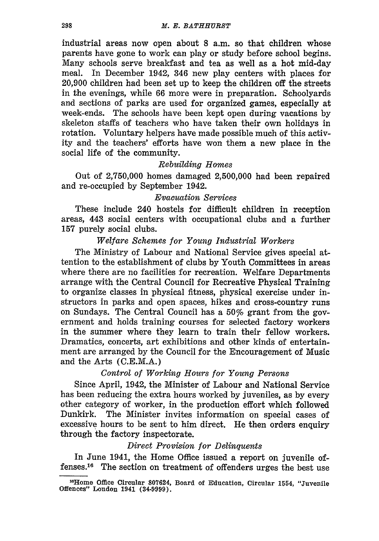industrial areas now open about 8 a.m. so that children whose parents have gone to work can play or study before school begins. Many schools serve breakfast and tea as well as a hot mid-day meal. In December 1942, 346 new play centers with places for 20,900 children had been set up to keep the children off the streets in the evenings, while 66 more were in preparation. Schoolyards and sections of parks are used for organized games, especially at week-ends. The schools have been kept open during vacations by skeleton staffs of teachers who have taken their own holidays in rotation. Voluntary helpers have made possible much of this activity and the teachers' efforts have won them a new place in the social life of the community.

#### *Rebuilding Homes*

Out of 2,750,000 homes damaged 2,500,000 had been repaired and re-occupied by September 1942.

#### *Evacuation Services*

These include 240 hostels for difficult children in reception areas, 443 social centers with occupational clubs and a further 157 purely social clubs.

#### *Welfare Schemes for Young Industrial Workers*

The Ministry of Labour and National Service gives special attention to the establishment of clubs by Youth Committees in areas where there are no facilities for recreation. Welfare Departments arrange with the Central Council for Recreative Physical Training to organize classes in physical fitness, physical exercise under instructors in parks and open spaces, hikes and cross-country runs on Sundays. The Central Council has a 50% grant from the government and holds training courses for selected factory workers in the summer where they learn to train their fellow workers. Dramatics, concerts, art exhibitions and other kinds of entertainment are arranged by the Council for the Encouragement of Music and the Arts (C.E.M.A.)

#### *Control of Working Hours for Young Persons*

Since April, 1942, the Minister of Labour and National Service has been reducing the extra hours worked by juveniles, as by every other category of worker, in the production effort which followed Dunkirk. The Minister invites information on special cases of excessive hours to be sent to him direct. He then orders enquiry through the factory inspectorate.

#### *Direct Provision for Delinquents*

In June 1941, the Home Office issued a report on juvenile offenses.<sup>16</sup> The section on treatment of offenders urges the best use

<sup>&</sup>lt;sup>16</sup>Home Office Circular 807624, Board of Education, Circular 1554, "Juvenile Offences" London 1941 **(34-9999).**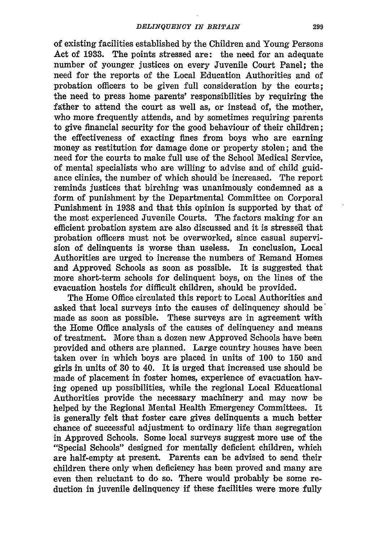of existing facilities established by the Children and Young Persons Act of 1933. The points stressed are: the need for an adequate number of younger justices on every Juvenile Court Panel; the need for the reports of the Local Education Authorities and of probation officers to be given full consideration by the courts; the need to press home parents' responsibilities by requiring the father to attend the court as well as, or instead of, the mother, who more frequently attends, and by sometimes requiring parents to give financial security for the good behaviour of their children; the effectiveness of exacting fines from boys who are earning money as restitution for damage done or property stolen; and the need for the courts to make full use of the School Medical Service, of mental specialists who are willing to advise and of child guidance clinics, the number of which should be increased. The report reminds justices that birching was unanimously condemned as a form of punishment by the Departmental Committee on Corporal Punishment in 1938 and that this opinion is supported by that of the most experienced Juvenile Courts. The factors making for an efficient probation system are also discussed and it is stressed that probation officers must not be overworked, since casual supervision of delinquents is worse than useless. In conclusion, Local Authorities are urged to increase the numbers of Remand Homes and Approved Schools as soon as possible. It is suggested that more short-term schools for delinquent boys, on the lines of the evacuation hostels for difficult children, should be provided.

The Home Office circulated this report to Local Authorities and asked that local surveys into the causes of delinquency should be' made as soon as possible. These surveys are in agreement with the Home Office analysis of the causes of delinquency and means of treatment. More than a dozen new Approved Schools have been provided and others are planned. Large country houses have been taken over in which boys are placed in units of 100 to **150** and girls in units of **30** to 40. It is urged that increased use should be made of placement in foster homes, experience of evacuation having opened up possibilities, while the regional Local Educational Authorities provide the necessary machinery and may now be helped by the Regional Mental Health Emergency Committees. It is generally felt that foster care gives delinquents a much better chance of successful adjustment to ordinary life than segregation in Approved Schools. Some local surveys suggest more use of the "Special Schools" designed for mentally deficient children, which are half-empty at present. Parents can be advised to send their children there only when deficiency has been proved and many are even then reluctant to do so. There would probably be some reduction in juvenile delinquency if these facilities were more fully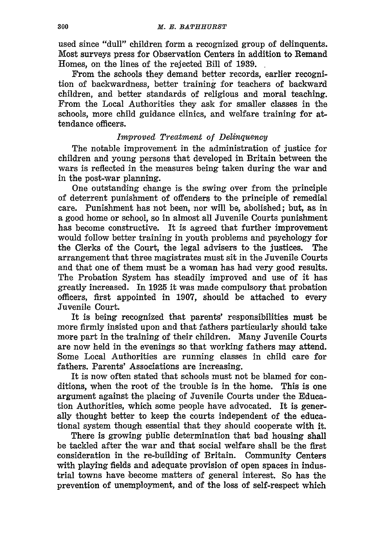used since "dull" children form a recognized group of delinquents. Most surveys press for Observation Centers in addition to Remand Homes, on the lines of the rejected Bill of **1939.**

From the schools they demand better records, earlier recognition of backwardness, better training for teachers of backward children, and better standards of religious and moral teaching. From the Local Authorities they ask for smaller classes in the schools, more child guidance clinics, and welfare training for attendance officers.

#### *Improved Treatment of Delinquency*

The notable improvement in the administration of justice for children and young persons that developed in Britain between the wars is reflected in the measures being taken during the war and in the post-war planning.

One outstanding change is the swing over from the principle of deterrent punishment of offenders to the principle of remedial care. Punishment has not been, nor will be, abolished; but, as in a good home or school, so in almost all Juvenile Courts punishment has become constructive. It is agreed that further improvement would follow better training in youth problems and psychology for the Clerks of the Court, the legal advisers to the justices. The arrangement that three magistrates must sit in the Juvenile Courts and that one of them must be a woman has had very good results. The Probation System has steadily improved and use of it has greatly increased. In **1925** it was made compulsory that probation officers, first appointed in **1907,** should be attached to every Juvenile Court.

It is being recognized that parents' responsibilities must be more firmly insisted upon and that fathers particularly should take more part in the training of their children. Many Juvenile Courts are now held in the evenings so that working fathers may attend. Some Local Authorities are running classes in child care for fathers. Parents' Associations are increasing.

It is now often stated that schools must not be blamed for conditions, when the root of the trouble is in the home. This is one argument against the placing of Juvenile Courts under the Education Authorities, which some people have advocated. It is generally thought better to keep the courts independent of the educational system though essential that they should cooperate with it.

There is growing public determination that bad housing shall be tackled after the war and that social welfare shall be the first consideration in the re-building of Britain. Community Centers with playing fields and adequate provision of open spaces in industrial towns have become matters of general interest. So has the prevention of unemployment, and of the loss of self-respect which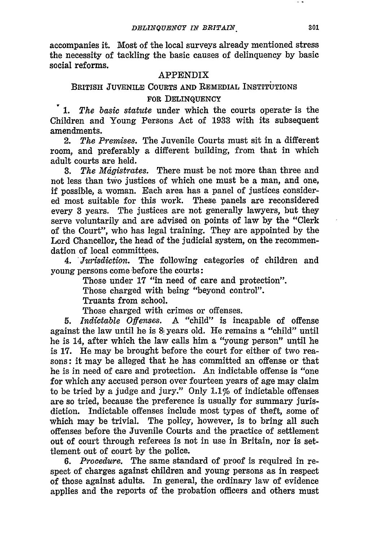accompanies it. Most of the local surveys already mentioned stress the necessity of tackling the basic causes of delinquency **by** basic social reforms.

#### APPENDIX

#### BRITISH **JUVENILE COURTS AND** REMEDIAL INSTITUTIONS

#### FOR **DELINQUENCY**

*1. The basic statute* under which the courts operate- is the Children and Young Persons Act of **1933** with its subsequent amendments.

2. *The Premises.* The Juvenile Courts must sit in a different room, and preferably a different building, from that in which adult courts are held.

*3. The M6gistrates.* There must be not more than three and not less than two justices of which one must be a man, and one, if possible, a woman. Each area has a panel of justices considered most suitable for this work. These panels are reconsidered every 3 years. The justices are not generally lawyers, but they serve voluntarily and are advised on points of law by the "Clerk of the Court", who has legal training. They are appointed by the Lord Chancellor, the head of the judicial system, on the recommendation of local committees.

*4. Jurisdiction.* The following categories of children and young persons come before the courts:

Those under **17** "in need of care and protection".

Those charged with being "beyond control".

Truants from school.

Those charged with crimes or offenses.

**5.** *Indictable Offenses.* A "child" is incapable of offense against the law until he is **81** years old. He remains a "child" until he is 14, after which the law calls him a "young person" until he is **17.** He may be brought before the court for either of two reasons: it may be alleged that he has committed an offense or that he is in need **of** care and protection. An indictable offense is "one for which any accused person over fourteen years of age may claim to be tried by a judge and jury." Only  $1.1\%$  of indictable offenses are so tried, because the preference is usually for summary jurisdiction. Indictable offenses include most types of theft, some of which may be trivial. The policy, however, is to bring all such offenses before the Juvenile Courts and the practice of settlement out of court through referees is not in use in Britain, nor is settlement out of court by the police.

6. *Procedure.* The same standard of proof is required in respect of charges against children and young persons as in respect of those against adults. In general, the ordinary law of evidence applies and the reports of the probation officers and others must